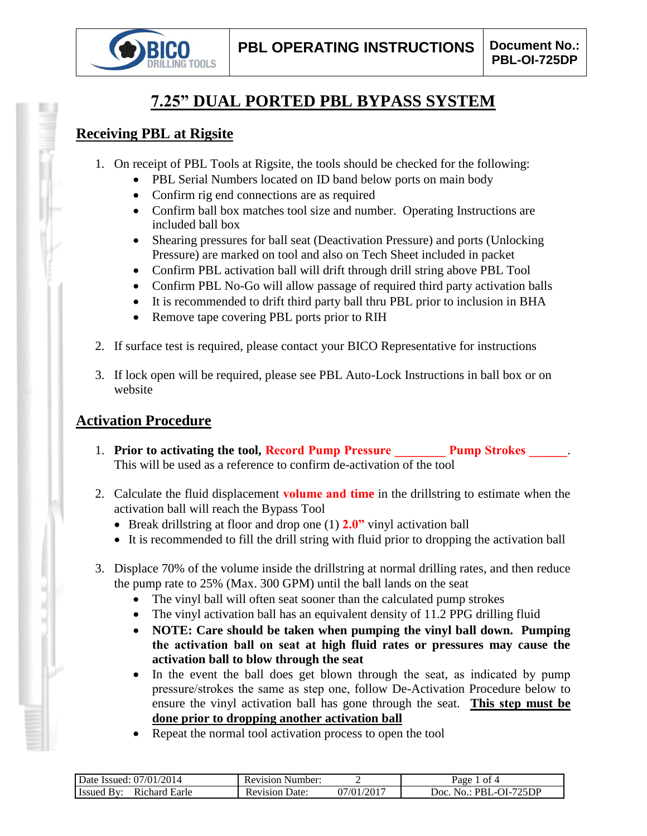

# **7.25" DUAL PORTED PBL BYPASS SYSTEM**

### **Receiving PBL at Rigsite**

- 1. On receipt of PBL Tools at Rigsite, the tools should be checked for the following:
	- PBL Serial Numbers located on ID band below ports on main body
	- Confirm rig end connections are as required
	- Confirm ball box matches tool size and number. Operating Instructions are included ball box
	- Shearing pressures for ball seat (Deactivation Pressure) and ports (Unlocking Pressure) are marked on tool and also on Tech Sheet included in packet
	- Confirm PBL activation ball will drift through drill string above PBL Tool
	- Confirm PBL No-Go will allow passage of required third party activation balls
	- It is recommended to drift third party ball thru PBL prior to inclusion in BHA
	- Remove tape covering PBL ports prior to RIH
- 2. If surface test is required, please contact your BICO Representative for instructions
- 3. If lock open will be required, please see PBL Auto-Lock Instructions in ball box or on website

## **Activation Procedure**

- 1. **Prior to activating the tool, Record Pump Pressure Pump Strokes 2014** This will be used as a reference to confirm de-activation of the tool
- 2. Calculate the fluid displacement **volume and time** in the drillstring to estimate when the activation ball will reach the Bypass Tool
	- Break drillstring at floor and drop one (1) **2.0"** vinyl activation ball
	- It is recommended to fill the drill string with fluid prior to dropping the activation ball
- 3. Displace 70% of the volume inside the drillstring at normal drilling rates, and then reduce the pump rate to 25% (Max. 300 GPM) until the ball lands on the seat
	- The vinyl ball will often seat sooner than the calculated pump strokes
	- The vinyl activation ball has an equivalent density of 11.2 PPG drilling fluid
	- **NOTE: Care should be taken when pumping the vinyl ball down. Pumping the activation ball on seat at high fluid rates or pressures may cause the activation ball to blow through the seat**
	- In the event the ball does get blown through the seat, as indicated by pump pressure/strokes the same as step one, follow De-Activation Procedure below to ensure the vinyl activation ball has gone through the seat. **This step must be done prior to dropping another activation ball**
	- Repeat the normal tool activation process to open the tool

| Date Issued: 07/01/2014                 | Number:<br>Revision      |                   | Page<br>$-$ of 4                   |
|-----------------------------------------|--------------------------|-------------------|------------------------------------|
| Issued<br>Earle<br>R <sub>1</sub> chard | Date:<br><b>Revision</b> | .1/2017<br>.)7/01 | $PBL-OI-7$<br>725DP<br>Doc.<br>No. |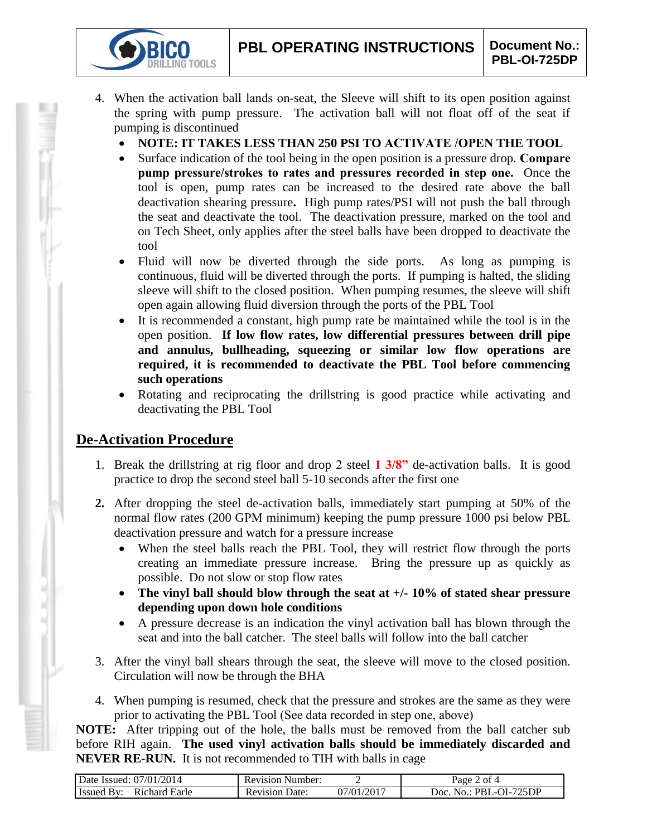- 4. When the activation ball lands on-seat, the Sleeve will shift to its open position against the spring with pump pressure. The activation ball will not float off of the seat if pumping is discontinued
	- **NOTE: IT TAKES LESS THAN 250 PSI TO ACTIVATE /OPEN THE TOOL**
	- Surface indication of the tool being in the open position is a pressure drop. **Compare pump pressure/strokes to rates and pressures recorded in step one.** Once the tool is open, pump rates can be increased to the desired rate above the ball deactivation shearing pressure**.** High pump rates/PSI will not push the ball through the seat and deactivate the tool. The deactivation pressure, marked on the tool and on Tech Sheet, only applies after the steel balls have been dropped to deactivate the tool
	- Fluid will now be diverted through the side ports. As long as pumping is continuous, fluid will be diverted through the ports. If pumping is halted, the sliding sleeve will shift to the closed position. When pumping resumes, the sleeve will shift open again allowing fluid diversion through the ports of the PBL Tool
	- It is recommended a constant, high pump rate be maintained while the tool is in the open position. **If low flow rates, low differential pressures between drill pipe and annulus, bullheading, squeezing or similar low flow operations are required, it is recommended to deactivate the PBL Tool before commencing such operations**
	- Rotating and reciprocating the drillstring is good practice while activating and deactivating the PBL Tool

### **De-Activation Procedure**

**IG TOOLS** 

- 1. Break the drillstring at rig floor and drop 2 steel **1 3/8"** de-activation balls. It is good practice to drop the second steel ball 5-10 seconds after the first one
- **2.** After dropping the steel de-activation balls, immediately start pumping at 50% of the normal flow rates (200 GPM minimum) keeping the pump pressure 1000 psi below PBL deactivation pressure and watch for a pressure increase
	- When the steel balls reach the PBL Tool, they will restrict flow through the ports creating an immediate pressure increase. Bring the pressure up as quickly as possible. Do not slow or stop flow rates
	- **The vinyl ball should blow through the seat at +/- 10% of stated shear pressure depending upon down hole conditions**
	- A pressure decrease is an indication the vinyl activation ball has blown through the seat and into the ball catcher. The steel balls will follow into the ball catcher
- 3. After the vinyl ball shears through the seat, the sleeve will move to the closed position. Circulation will now be through the BHA
- 4. When pumping is resumed, check that the pressure and strokes are the same as they were prior to activating the PBL Tool (See data recorded in step one, above)

**NOTE:** After tripping out of the hole, the balls must be removed from the ball catcher sub before RIH again. **The used vinyl activation balls should be immediately discarded and NEVER RE-RUN.** It is not recommended to TIH with balls in cage

| Date Issued: 07/01/2014            | <b>Revision Number:</b> |                         | $2$ of 4<br>$\log_e$                |
|------------------------------------|-------------------------|-------------------------|-------------------------------------|
| <b>Issued By:</b><br>Richard Earle | Date:<br>Revision       | .)7/01/201 <sup>-</sup> | PBL-OI-725DP<br>Doc.<br>$N\Omega$ . |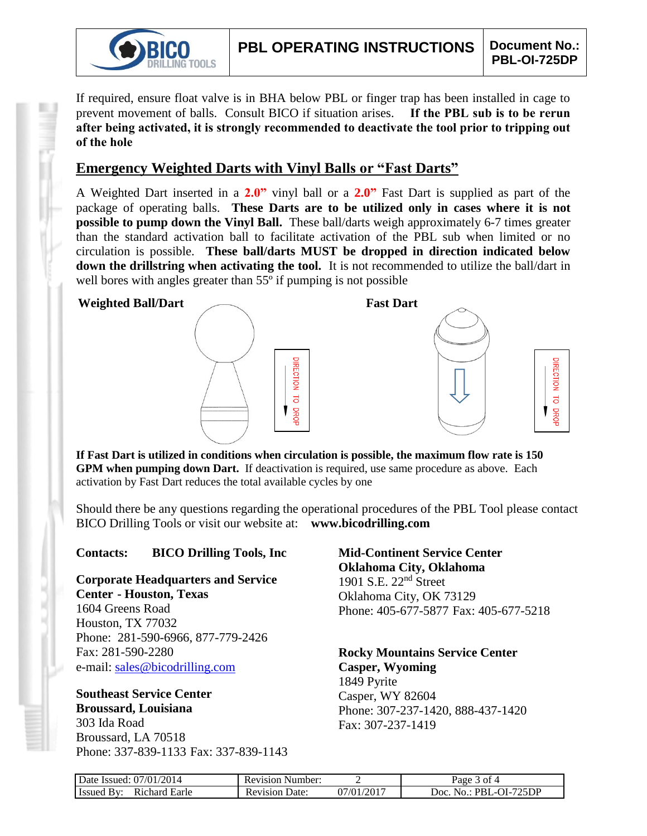

If required, ensure float valve is in BHA below PBL or finger trap has been installed in cage to prevent movement of balls. Consult BICO if situation arises. **If the PBL sub is to be rerun after being activated, it is strongly recommended to deactivate the tool prior to tripping out of the hole**

### **Emergency Weighted Darts with Vinyl Balls or "Fast Darts"**

A Weighted Dart inserted in a **2.0"** vinyl ball or a **2.0"** Fast Dart is supplied as part of the package of operating balls. **These Darts are to be utilized only in cases where it is not possible to pump down the Vinyl Ball.** These ball/darts weigh approximately 6-7 times greater than the standard activation ball to facilitate activation of the PBL sub when limited or no circulation is possible. **These ball/darts MUST be dropped in direction indicated below down the drillstring when activating the tool.** It is not recommended to utilize the ball/dart in well bores with angles greater than 55<sup>°</sup> if pumping is not possible

#### **Weighted Ball/Dart Fast Dart**





**If Fast Dart is utilized in conditions when circulation is possible, the maximum flow rate is 150 GPM when pumping down Dart.** If deactivation is required, use same procedure as above. Each activation by Fast Dart reduces the total available cycles by one

Should there be any questions regarding the operational procedures of the PBL Tool please contact BICO Drilling Tools or visit our website at: **www.bicodrilling.com**

### **Contacts: BICO Drilling Tools, Inc**

**Corporate Headquarters and Service Center - Houston, Texas**

1604 Greens Road Houston, TX 77032 Phone: 281-590-6966, 877-779-2426 Fax: 281-590-2280 e-mail: [sales@bicodrilling.com](mailto:sales@bicodrilling.com)

### **Southeast Service Center Broussard, Louisiana**

303 Ida Road Broussard, LA 70518 Phone: 337-839-1133 Fax: 337-839-1143 **Mid-Continent Service Center Oklahoma City, Oklahoma** 1901 S.E. 22nd Street Oklahoma City, OK 73129 Phone: 405-677-5877 Fax: 405-677-5218

#### **Rocky Mountains Service Center Casper, Wyoming** 1849 Pyrite Casper, WY 82604 Phone: 307-237-1420, 888-437-1420 Fax: 307-237-1419

| Date Issued: 07/01/2014     | <b>Revision Number:</b> |            | Page 3 of 4                            |
|-----------------------------|-------------------------|------------|----------------------------------------|
| Richard Earle<br>Issued By: | <b>Revision Date:</b>   | 07/01/2017 | . No.: PBL-OI-725DP<br>10 <sub>c</sub> |